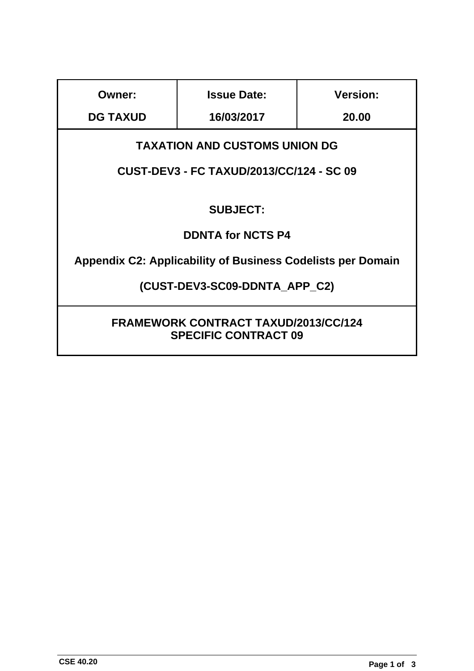| Owner:                                                                     | <b>Issue Date:</b> | <b>Version:</b> |  |  |  |  |
|----------------------------------------------------------------------------|--------------------|-----------------|--|--|--|--|
| <b>DG TAXUD</b>                                                            | 16/03/2017         | 20.00           |  |  |  |  |
| <b>TAXATION AND CUSTOMS UNION DG</b>                                       |                    |                 |  |  |  |  |
| CUST-DEV3 - FC TAXUD/2013/CC/124 - SC 09                                   |                    |                 |  |  |  |  |
| <b>SUBJECT:</b>                                                            |                    |                 |  |  |  |  |
| <b>DDNTA for NCTS P4</b>                                                   |                    |                 |  |  |  |  |
| <b>Appendix C2: Applicability of Business Codelists per Domain</b>         |                    |                 |  |  |  |  |
| (CUST-DEV3-SC09-DDNTA_APP_C2)                                              |                    |                 |  |  |  |  |
| <b>FRAMEWORK CONTRACT TAXUD/2013/CC/124</b><br><b>SPECIFIC CONTRACT 09</b> |                    |                 |  |  |  |  |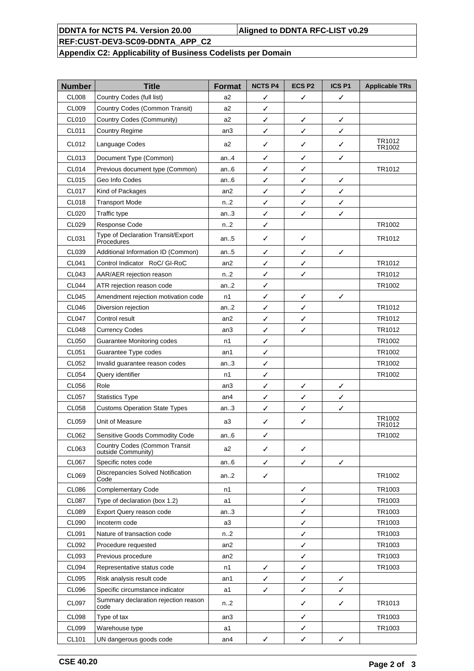### **DDNTA for NCTS P4. Version 20.00 Aligned to DDNTA RFC-LIST v0.29**

# **REF:CUST-DEV3-SC09-DDNTA\_APP\_C2**

## **Appendix C2: Applicability of Business Codelists per Domain**

| <b>Number</b> | <b>Title</b>                                        | <b>Format</b>   | <b>NCTS P4</b> | <b>ECSP2</b> | <b>ICS P1</b> | <b>Applicable TRs</b> |
|---------------|-----------------------------------------------------|-----------------|----------------|--------------|---------------|-----------------------|
| <b>CL008</b>  | Country Codes (full list)                           | a <sub>2</sub>  | ✓              | ✓            | ✓             |                       |
| CL009         | Country Codes (Common Transit)                      | a2              | ✓              |              |               |                       |
| CL010         | Country Codes (Community)                           | a <sub>2</sub>  | $\checkmark$   | ✓            | ✓             |                       |
| CL011         | <b>Country Regime</b>                               | an3             | ✓              | ✓            | ✓             |                       |
| CL012         | Language Codes                                      | a2              | ✓              | ✓            | ✓             | TR1012<br>TR1002      |
| CL013         | Document Type (Common)                              | an.4            | ✓              | ✓            | ✓             |                       |
| <b>CL014</b>  | Previous document type (Common)                     | an.6            | ✓              | ✓            |               | TR1012                |
| CL015         | Geo Info Codes                                      | an.6            | ✓              | ✓            | ✓             |                       |
| <b>CL017</b>  | Kind of Packages                                    | an2             | ✓              | ✓            | $\checkmark$  |                       |
| <b>CL018</b>  | <b>Transport Mode</b>                               | n.2             | ✓              | ✓            | $\checkmark$  |                       |
| CL020         | Traffic type                                        | an3             | ✓              | ✓            | $\checkmark$  |                       |
| CL029         | Response Code                                       | n.2             | ✓              |              |               | TR1002                |
| CL031         | Type of Declaration Transit/Export<br>Procedures    | an5             | ✓              | ✓            |               | TR1012                |
| CL039         | Additional Information ID (Common)                  | an.5            | ✓              | ✓            | ✓             |                       |
| CL041         | Control Indicator RoC/ GI-RoC                       | an2             | ✓              | ✓            |               | TR1012                |
| CL043         | AAR/AER rejection reason                            | n.2             | ✓              | ✓            |               | TR1012                |
| <b>CL044</b>  | ATR rejection reason code                           | an.2            | ✓              |              |               | TR1002                |
| <b>CL045</b>  | Amendment rejection motivation code                 | n1              | ✓              | ✓            | ✓             |                       |
| <b>CL046</b>  | Diversion rejection                                 | an.2            | ✓              | ✓            |               | TR1012                |
| <b>CL047</b>  | Control result                                      | an2             | ✓              | ✓            |               | TR1012                |
| <b>CL048</b>  | <b>Currency Codes</b>                               | an3             | $\checkmark$   | ✓            |               | TR1012                |
| CL050         | Guarantee Monitoring codes                          | n1              | ✓              |              |               | TR1002                |
| CL051         | Guarantee Type codes                                | an1             | ✓              |              |               | TR1002                |
| CL052         | Invalid guarantee reason codes                      | an.3            | ✓              |              |               | TR1002                |
| CL054         | Query identifier                                    | n1              | $\checkmark$   |              |               | TR1002                |
| CL056         | Role                                                | an3             | ✓              | ✓            | ✓             |                       |
| CL057         | <b>Statistics Type</b>                              | an <sub>4</sub> | ✓              | $\checkmark$ | $\checkmark$  |                       |
| <b>CL058</b>  | <b>Customs Operation State Types</b>                | an.3            | ✓              | ✓            | ✓             |                       |
| CL059         | Unit of Measure                                     | a3              | ✓              | ✓            |               | TR1002<br>TR1012      |
| CL062         | Sensitive Goods Commodity Code                      | an6             | ╱              |              |               | TR1002                |
| CL063         | Country Codes (Common Transit<br>outside Community) | a2              | ✓              | ✓            |               |                       |
| CL067         | Specific notes code                                 | an6             | ✓              | ✓            | ✓             |                       |
| CL069         | Discrepancies Solved Notification<br>Code           | an $2$          | ✓              |              |               | TR1002                |
| CL086         | <b>Complementary Code</b>                           | n1              |                | ✓            |               | TR1003                |
| <b>CL087</b>  | Type of declaration (box 1.2)                       | a1              |                | ✓            |               | TR1003                |
| <b>CL089</b>  | Export Query reason code                            | an.3            |                | ✓            |               | TR1003                |
| CL090         | Incoterm code                                       | a3              |                | ✓            |               | TR1003                |
| CL091         | Nature of transaction code                          | n2              |                | ✓            |               | TR1003                |
| CL092         | Procedure requested                                 | an2             |                | ✓            |               | TR1003                |
| CL093         | Previous procedure                                  | an2             |                | ✓            |               | TR1003                |
| CL094         | Representative status code                          | n1              | ✓              | ✓            |               | TR1003                |
| CL095         | Risk analysis result code                           | an1             | ✓              | ✓            | ✓             |                       |
| <b>CL096</b>  | Specific circumstance indicator                     | a1              | ✓              | ✓            | ✓             |                       |
| CL097         | Summary declaration rejection reason<br>code        | $n_{-2}$        |                | ✓            | ✓             | TR1013                |
| <b>CL098</b>  | Type of tax                                         | an3             |                | ✓            |               | TR1003                |
| CL099         | Warehouse type                                      | a1              |                | ✓            |               | TR1003                |
| CL101         | UN dangerous goods code                             | an4             | ✓              | ✓            | ✓             |                       |